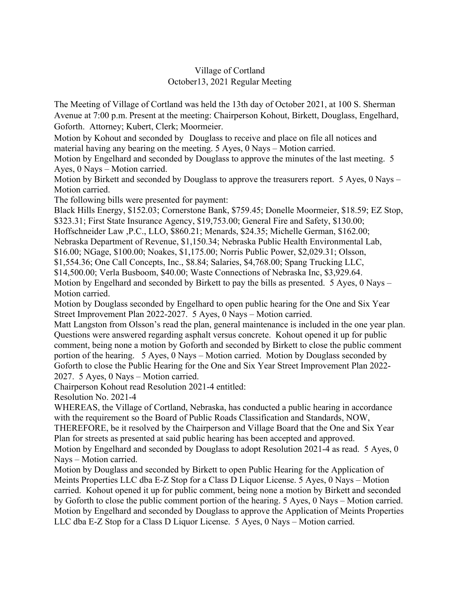## Village of Cortland October13, 2021 Regular Meeting

The Meeting of Village of Cortland was held the 13th day of October 2021, at 100 S. Sherman Avenue at 7:00 p.m. Present at the meeting: Chairperson Kohout, Birkett, Douglass, Engelhard, Goforth. Attorney; Kubert, Clerk; Moormeier.

Motion by Kohout and seconded by Douglass to receive and place on file all notices and material having any bearing on the meeting. 5 Ayes, 0 Nays – Motion carried.

Motion by Engelhard and seconded by Douglass to approve the minutes of the last meeting. 5 Ayes, 0 Nays – Motion carried.

Motion by Birkett and seconded by Douglass to approve the treasurers report. 5 Ayes, 0 Nays – Motion carried.

The following bills were presented for payment:

Black Hills Energy, \$152.03; Cornerstone Bank, \$759.45; Donelle Moormeier, \$18.59; EZ Stop, \$323.31; First State Insurance Agency, \$19,753.00; General Fire and Safety, \$130.00;

Hoffschneider Law ,P.C., LLO, \$860.21; Menards, \$24.35; Michelle German, \$162.00;

Nebraska Department of Revenue, \$1,150.34; Nebraska Public Health Environmental Lab,

\$16.00; NGage, \$100.00; Noakes, \$1,175.00; Norris Public Power, \$2,029.31; Olsson,

\$1,554.36; One Call Concepts, Inc., \$8.84; Salaries, \$4,768.00; Spang Trucking LLC,

\$14,500.00; Verla Busboom, \$40.00; Waste Connections of Nebraska Inc, \$3,929.64.

Motion by Engelhard and seconded by Birkett to pay the bills as presented. 5 Ayes, 0 Nays – Motion carried.

Motion by Douglass seconded by Engelhard to open public hearing for the One and Six Year Street Improvement Plan 2022-2027. 5 Ayes, 0 Nays – Motion carried.

Matt Langston from Olsson's read the plan, general maintenance is included in the one year plan. Questions were answered regarding asphalt versus concrete. Kohout opened it up for public comment, being none a motion by Goforth and seconded by Birkett to close the public comment portion of the hearing. 5 Ayes, 0 Nays – Motion carried. Motion by Douglass seconded by Goforth to close the Public Hearing for the One and Six Year Street Improvement Plan 2022- 2027. 5 Ayes, 0 Nays – Motion carried.

Chairperson Kohout read Resolution 2021-4 entitled:

Resolution No. 2021-4

WHEREAS, the Village of Cortland, Nebraska, has conducted a public hearing in accordance with the requirement so the Board of Public Roads Classification and Standards, NOW, THEREFORE, be it resolved by the Chairperson and Village Board that the One and Six Year Plan for streets as presented at said public hearing has been accepted and approved. Motion by Engelhard and seconded by Douglass to adopt Resolution 2021-4 as read. 5 Ayes, 0

Nays – Motion carried.

Motion by Douglass and seconded by Birkett to open Public Hearing for the Application of Meints Properties LLC dba E-Z Stop for a Class D Liquor License. 5 Ayes, 0 Nays – Motion carried. Kohout opened it up for public comment, being none a motion by Birkett and seconded by Goforth to close the public comment portion of the hearing. 5 Ayes, 0 Nays – Motion carried. Motion by Engelhard and seconded by Douglass to approve the Application of Meints Properties LLC dba E-Z Stop for a Class D Liquor License. 5 Ayes, 0 Nays – Motion carried.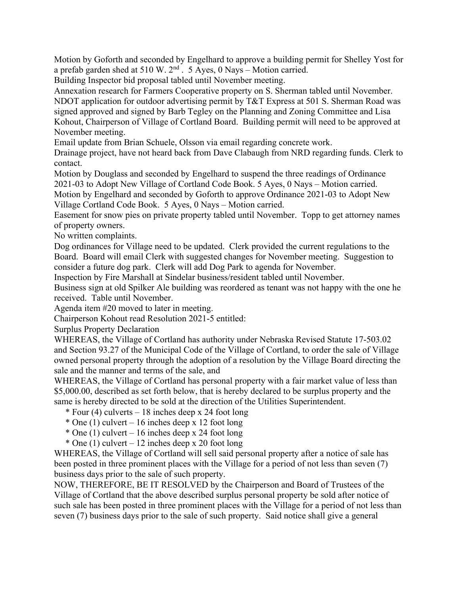Motion by Goforth and seconded by Engelhard to approve a building permit for Shelley Yost for a prefab garden shed at 510 W.  $2<sup>nd</sup>$ . 5 Ayes, 0 Nays – Motion carried.

Building Inspector bid proposal tabled until November meeting.

Annexation research for Farmers Cooperative property on S. Sherman tabled until November. NDOT application for outdoor advertising permit by T&T Express at 501 S. Sherman Road was signed approved and signed by Barb Tegley on the Planning and Zoning Committee and Lisa Kohout, Chairperson of Village of Cortland Board. Building permit will need to be approved at November meeting.

Email update from Brian Schuele, Olsson via email regarding concrete work.

Drainage project, have not heard back from Dave Clabaugh from NRD regarding funds. Clerk to contact.

Motion by Douglass and seconded by Engelhard to suspend the three readings of Ordinance 2021-03 to Adopt New Village of Cortland Code Book. 5 Ayes, 0 Nays – Motion carried. Motion by Engelhard and seconded by Goforth to approve Ordinance 2021-03 to Adopt New Village Cortland Code Book. 5 Ayes, 0 Nays – Motion carried.

Easement for snow pies on private property tabled until November. Topp to get attorney names of property owners.

No written complaints.

Dog ordinances for Village need to be updated. Clerk provided the current regulations to the Board. Board will email Clerk with suggested changes for November meeting. Suggestion to consider a future dog park. Clerk will add Dog Park to agenda for November.

Inspection by Fire Marshall at Sindelar business/resident tabled until November.

Business sign at old Spilker Ale building was reordered as tenant was not happy with the one he received. Table until November.

Agenda item #20 moved to later in meeting.

Chairperson Kohout read Resolution 2021-5 entitled:

Surplus Property Declaration

WHEREAS, the Village of Cortland has authority under Nebraska Revised Statute 17-503.02 and Section 93.27 of the Municipal Code of the Village of Cortland, to order the sale of Village owned personal property through the adoption of a resolution by the Village Board directing the sale and the manner and terms of the sale, and

WHEREAS, the Village of Cortland has personal property with a fair market value of less than \$5,000.00, described as set forth below, that is hereby declared to be surplus property and the same is hereby directed to be sold at the direction of the Utilities Superintendent.

 $*$  Four (4) culverts – 18 inches deep x 24 foot long

- $*$  One (1) culvert 16 inches deep x 12 foot long
- \* One (1) culvert 16 inches deep x 24 foot long
- \* One (1) culvert 12 inches deep x 20 foot long

WHEREAS, the Village of Cortland will sell said personal property after a notice of sale has been posted in three prominent places with the Village for a period of not less than seven (7) business days prior to the sale of such property.

NOW, THEREFORE, BE IT RESOLVED by the Chairperson and Board of Trustees of the Village of Cortland that the above described surplus personal property be sold after notice of such sale has been posted in three prominent places with the Village for a period of not less than seven (7) business days prior to the sale of such property. Said notice shall give a general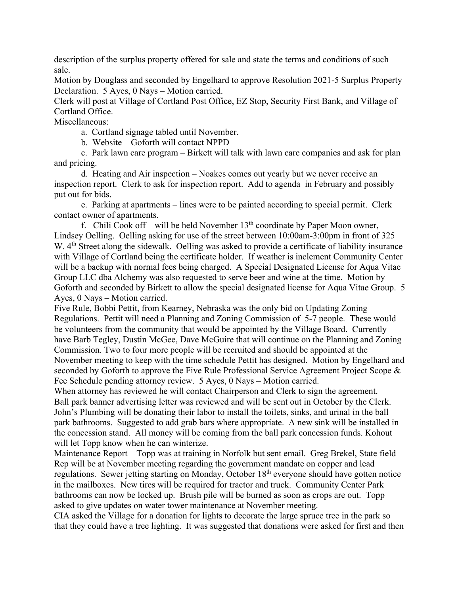description of the surplus property offered for sale and state the terms and conditions of such sale.

Motion by Douglass and seconded by Engelhard to approve Resolution 2021-5 Surplus Property Declaration. 5 Ayes, 0 Nays – Motion carried.

Clerk will post at Village of Cortland Post Office, EZ Stop, Security First Bank, and Village of Cortland Office.

Miscellaneous:

a. Cortland signage tabled until November.

b. Website – Goforth will contact NPPD

 c. Park lawn care program – Birkett will talk with lawn care companies and ask for plan and pricing.

 d. Heating and Air inspection – Noakes comes out yearly but we never receive an inspection report. Clerk to ask for inspection report. Add to agenda in February and possibly put out for bids.

 e. Parking at apartments – lines were to be painted according to special permit. Clerk contact owner of apartments.

f. Chili Cook off – will be held November  $13<sup>th</sup>$  coordinate by Paper Moon owner, Lindsey Oelling. Oelling asking for use of the street between 10:00am-3:00pm in front of 325 W. 4<sup>th</sup> Street along the sidewalk. Oelling was asked to provide a certificate of liability insurance with Village of Cortland being the certificate holder. If weather is inclement Community Center will be a backup with normal fees being charged. A Special Designated License for Aqua Vitae Group LLC dba Alchemy was also requested to serve beer and wine at the time. Motion by Goforth and seconded by Birkett to allow the special designated license for Aqua Vitae Group. 5 Ayes, 0 Nays – Motion carried.

Five Rule, Bobbi Pettit, from Kearney, Nebraska was the only bid on Updating Zoning Regulations. Pettit will need a Planning and Zoning Commission of 5-7 people. These would be volunteers from the community that would be appointed by the Village Board. Currently have Barb Tegley, Dustin McGee, Dave McGuire that will continue on the Planning and Zoning Commission. Two to four more people will be recruited and should be appointed at the November meeting to keep with the time schedule Pettit has designed. Motion by Engelhard and seconded by Goforth to approve the Five Rule Professional Service Agreement Project Scope & Fee Schedule pending attorney review. 5 Ayes, 0 Nays – Motion carried.

When attorney has reviewed he will contact Chairperson and Clerk to sign the agreement. Ball park banner advertising letter was reviewed and will be sent out in October by the Clerk. John's Plumbing will be donating their labor to install the toilets, sinks, and urinal in the ball park bathrooms. Suggested to add grab bars where appropriate. A new sink will be installed in the concession stand. All money will be coming from the ball park concession funds. Kohout will let Topp know when he can winterize.

Maintenance Report – Topp was at training in Norfolk but sent email. Greg Brekel, State field Rep will be at November meeting regarding the government mandate on copper and lead regulations. Sewer jetting starting on Monday, October 18<sup>th</sup> everyone should have gotten notice in the mailboxes. New tires will be required for tractor and truck. Community Center Park bathrooms can now be locked up. Brush pile will be burned as soon as crops are out. Topp asked to give updates on water tower maintenance at November meeting.

CIA asked the Village for a donation for lights to decorate the large spruce tree in the park so that they could have a tree lighting. It was suggested that donations were asked for first and then